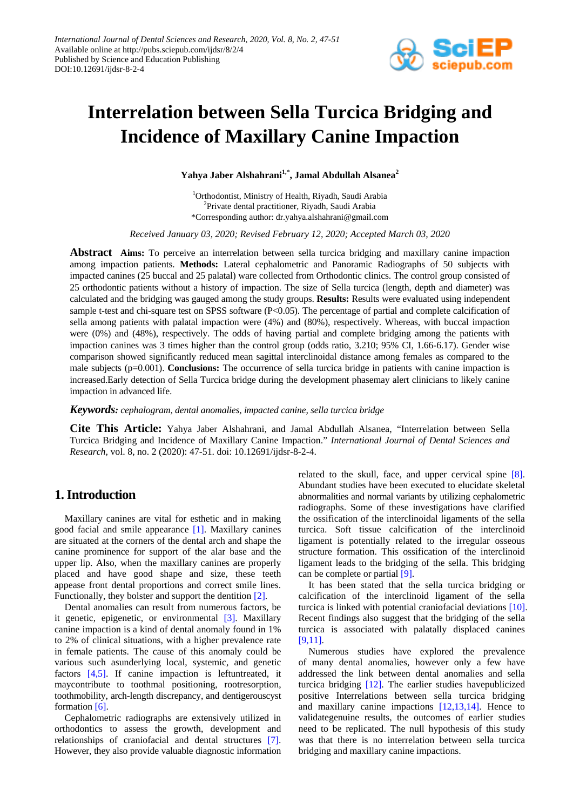

# **Interrelation between Sella Turcica Bridging and Incidence of Maxillary Canine Impaction**

**Yahya Jaber Alshahrani1,\*, Jamal Abdullah Alsanea<sup>2</sup>**

1 Orthodontist, Ministry of Health, Riyadh, Saudi Arabia <sup>2</sup>Private dental practitioner, Riyadh, Saudi Arabia \*Corresponding author: dr.yahya.alshahrani@gmail.com

*Receive[d January](javascript:;) 03, 2020; Revised February 12, 2020; Accepted March 03, 2020*

**Abstract Aims:** To perceive an interrelation between sella turcica bridging and maxillary canine impaction among impaction patients. **Methods:** Lateral cephalometric and Panoramic Radiographs of 50 subjects with impacted canines (25 buccal and 25 palatal) ware collected from Orthodontic clinics. The control group consisted of 25 orthodontic patients without a history of impaction. The size of Sella turcica (length, depth and diameter) was calculated and the bridging was gauged among the study groups. **Results:** Results were evaluated using independent sample t-test and chi-square test on SPSS software (P<0.05). The percentage of partial and complete calcification of sella among patients with palatal impaction were (4%) and (80%), respectively. Whereas, with buccal impaction were (0%) and (48%), respectively. The odds of having partial and complete bridging among the patients with impaction canines was 3 times higher than the control group (odds ratio, 3.210; 95% CI, 1.66-6.17). Gender wise comparison showed significantly reduced mean sagittal interclinoidal distance among females as compared to the male subjects (p=0.001). **Conclusions:** The occurrence of sella turcica bridge in patients with canine impaction is increased.Early detection of Sella Turcica bridge during the development phasemay alert clinicians to likely canine impaction in advanced life.

*Keywords: cephalogram, dental anomalies, impacted canine, sella turcica bridge*

**Cite This Article:** Yahya Jaber Alshahrani, and Jamal Abdullah Alsanea, "Interrelation between Sella Turcica Bridging and Incidence of Maxillary Canine Impaction." *International Journal of Dental Sciences and Research*, vol. 8, no. 2 (2020): 47-51. doi: 10.12691/ijdsr-8-2-4.

## **1. Introduction**

Maxillary canines are vital for esthetic and in making good facial and smile appearance [\[1\].](#page-3-0) Maxillary canines are situated at the corners of the dental arch and shape the canine prominence for support of the alar base and the upper lip. Also, when the maxillary canines are properly placed and have good shape and size, these teeth appease front dental proportions and correct smile lines. Functionally, they bolster and support the dentition [\[2\].](#page-3-1)

Dental anomalies can result from numerous factors, be it genetic, epigenetic, or environmental [\[3\].](#page-3-2) Maxillary canine impaction is a kind of dental anomaly found in 1% to 2% of clinical situations, with a higher prevalence rate in female patients. The cause of this anomaly could be various such asunderlying local, systemic, and genetic factors [\[4,5\].](#page-3-3) If canine impaction is leftuntreated, it maycontribute to toothmal positioning, rootresorption, toothmobility, arch-length discrepancy, and dentigerouscyst formation [\[6\].](#page-3-4)

Cephalometric radiographs are extensively utilized in orthodontics to assess the growth, development and relationships of craniofacial and dental structures [\[7\].](#page-3-5) However, they also provide valuable diagnostic information related to the skull, face, and upper cervical spine [\[8\].](#page-3-6) Abundant studies have been executed to elucidate skeletal abnormalities and normal variants by utilizing cephalometric radiographs. Some of these investigations have clarified the ossification of the interclinoidal ligaments of the sella turcica. Soft tissue calcification of the interclinoid ligament is potentially related to the irregular osseous structure formation. This ossification of the interclinoid ligament leads to the bridging of the sella. This bridging can be complete or partial [\[9\].](#page-3-7)

It has been stated that the sella turcica bridging or calcification of the interclinoid ligament of the sella turcica is linked with potential craniofacial deviations [\[10\].](#page-3-8) Recent findings also suggest that the bridging of the sella turcica is associated with palatally displaced canines [\[9,11\].](#page-3-7)

Numerous studies have explored the prevalence of many dental anomalies, however only a few have addressed the link between dental anomalies and sella turcica bridging [\[12\].](#page-3-9) The earlier studies havepublicized positive Interrelations between sella turcica bridging and maxillary canine impactions [\[12,13,14\].](#page-3-9) Hence to validategenuine results, the outcomes of earlier studies need to be replicated. The null hypothesis of this study was that there is no interrelation between sella turcica bridging and maxillary canine impactions.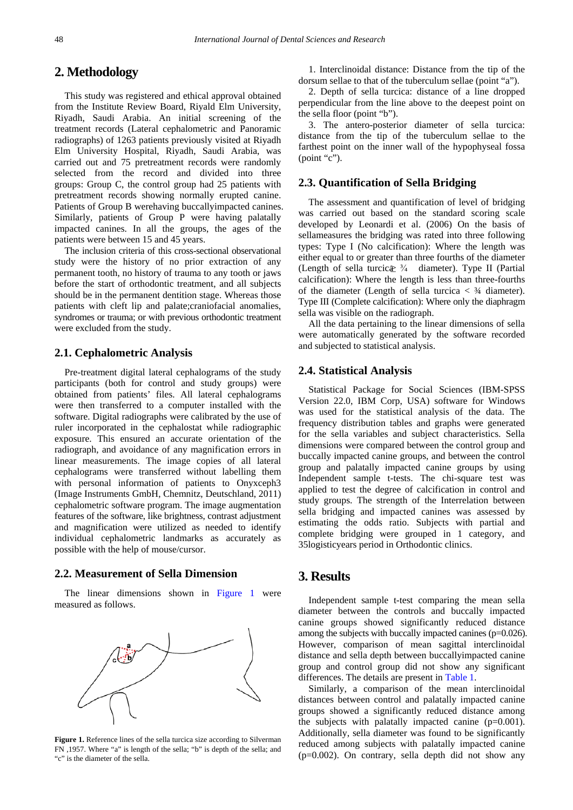## **2. Methodology**

This study was registered and ethical approval obtained from the Institute Review Board, Riyald Elm University, Riyadh, Saudi Arabia. An initial screening of the treatment records (Lateral cephalometric and Panoramic radiographs) of 1263 patients previously visited at Riyadh Elm University Hospital, Riyadh, Saudi Arabia, was carried out and 75 pretreatment records were randomly selected from the record and divided into three groups: Group C, the control group had 25 patients with pretreatment records showing normally erupted canine. Patients of Group B werehaving buccallyimpacted canines. Similarly, patients of Group P were having palatally impacted canines. In all the groups, the ages of the patients were between 15 and 45 years.

The inclusion criteria of this cross-sectional observational study were the history of no prior extraction of any permanent tooth, no history of trauma to any tooth or jaws before the start of orthodontic treatment, and all subjects should be in the permanent dentition stage. Whereas those patients with cleft lip and palate;craniofacial anomalies, syndromes or trauma; or with previous orthodontic treatment were excluded from the study.

#### **2.1. Cephalometric Analysis**

Pre-treatment digital lateral cephalograms of the study participants (both for control and study groups) were obtained from patients' files. All lateral cephalograms were then transferred to a computer installed with the software. Digital radiographs were calibrated by the use of ruler incorporated in the cephalostat while radiographic exposure. This ensured an accurate orientation of the radiograph, and avoidance of any magnification errors in linear measurements. The image copies of all lateral cephalograms were transferred without labelling them with personal information of patients to Onyxceph3 (Image Instruments GmbH, Chemnitz, Deutschland, 2011) cephalometric software program. The image augmentation features of the software, like brightness, contrast adjustment and magnification were utilized as needed to identify individual cephalometric landmarks as accurately as possible with the help of mouse/cursor.

#### **2.2. Measurement of Sella Dimension**

<span id="page-1-0"></span>The linear dimensions shown in [Figure 1](#page-1-0) were measured as follows.



**Figure 1.** Reference lines of the sella turcica size according to Silverman FN ,1957. Where "a" is length of the sella; "b" is depth of the sella; and "c" is the diameter of the sella.

1. Interclinoidal distance: Distance from the tip of the dorsum sellae to that of the tuberculum sellae (point "a").

2. Depth of sella turcica: distance of a line dropped perpendicular from the line above to the deepest point on the sella floor (point "b").

3. The antero-posterior diameter of sella turcica: distance from the tip of the tuberculum sellae to the farthest point on the inner wall of the hypophyseal fossa (point "c").

### **2.3. Quantification of Sella Bridging**

The assessment and quantification of level of bridging was carried out based on the standard scoring scale developed by Leonardi et al. (2006) On the basis of sellameasures the bridging was rated into three following types: Type I (No calcification): Where the length was either equal to or greater than three fourths of the diameter (Length of sella turcic $\geq \frac{3}{4}$  diameter). Type II (Partial calcification): Where the length is less than three-fourths of the diameter (Length of sella turcica  $\langle 3/4 \rangle$  diameter). Type III (Complete calcification): Where only the diaphragm sella was visible on the radiograph.

All the data pertaining to the linear dimensions of sella were automatically generated by the software recorded and subjected to statistical analysis.

#### **2.4. Statistical Analysis**

Statistical Package for Social Sciences (IBM-SPSS Version 22.0, IBM Corp, USA) software for Windows was used for the statistical analysis of the data. The frequency distribution tables and graphs were generated for the sella variables and subject characteristics. Sella dimensions were compared between the control group and buccally impacted canine groups, and between the control group and palatally impacted canine groups by using Independent sample t-tests. The chi-square test was applied to test the degree of calcification in control and study groups. The strength of the Interrelation between sella bridging and impacted canines was assessed by estimating the odds ratio. Subjects with partial and complete bridging were grouped in 1 category, and 35logisticyears period in Orthodontic clinics.

## **3. Results**

Independent sample t-test comparing the mean sella diameter between the controls and buccally impacted canine groups showed significantly reduced distance among the subjects with buccally impacted canines (p=0.026). However, comparison of mean sagittal interclinoidal distance and sella depth between buccallyimpacted canine group and control group did not show any significant differences. The details are present i[n Table 1.](#page-2-0)

Similarly, a comparison of the mean interclinoidal distances between control and palatally impacted canine groups showed a significantly reduced distance among the subjects with palatally impacted canine  $(p=0.001)$ . Additionally, sella diameter was found to be significantly reduced among subjects with palatally impacted canine (p=0.002). On contrary, sella depth did not show any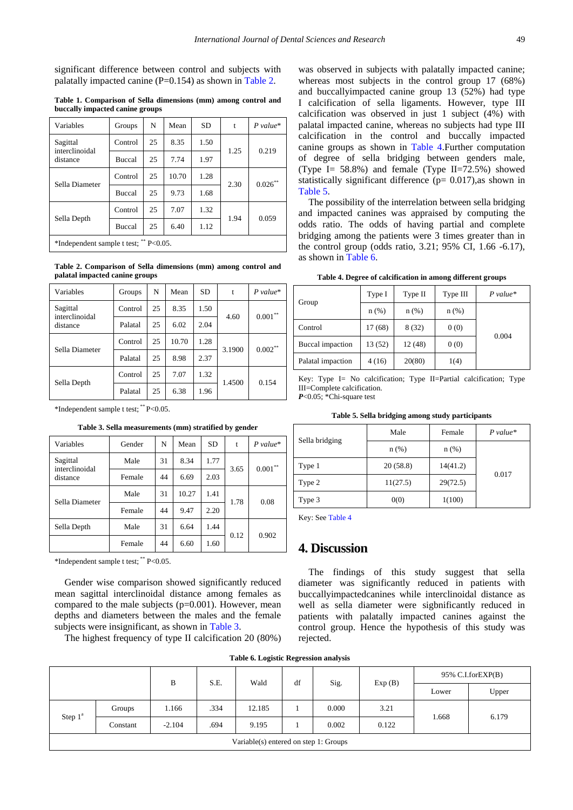significant difference between control and subjects with palatally impacted canine  $(P=0.154)$  as shown in [Table 2.](#page-2-1)

**Table 1. Comparison of Sella dimensions (mm) among control and buccally impacted canine groups**

<span id="page-2-0"></span>

| Variables                              | Groups        | N  | Mean  | <b>SD</b> | t    | $P value*$ |  |  |
|----------------------------------------|---------------|----|-------|-----------|------|------------|--|--|
| Sagittal                               | Control       | 25 | 8.35  | 1.50      | 1.25 | 0.219      |  |  |
| interclinoidal<br>distance             | <b>Buccal</b> | 25 | 7.74  | 1.97      |      |            |  |  |
| Sella Diameter                         | Control       | 25 | 10.70 | 1.28      | 2.30 | $0.026***$ |  |  |
|                                        | <b>Buccal</b> | 25 | 9.73  | 1.68      |      |            |  |  |
| Sella Depth                            | Control       | 25 | 7.07  | 1.32      |      |            |  |  |
|                                        | <b>Buccal</b> | 25 | 6.40  | 1.12      | 1.94 | 0.059      |  |  |
| *Independent sample t test; ** P<0.05. |               |    |       |           |      |            |  |  |

**Table 2. Comparison of Sella dimensions (mm) among control and palatal impacted canine groups**

<span id="page-2-1"></span>

| Variables                  | Groups  | N  | Mean  | <b>SD</b> | t      | $P$ value*    |
|----------------------------|---------|----|-------|-----------|--------|---------------|
| Sagittal<br>interclinoidal | Control | 25 | 8.35  | 1.50      | 4.60   | $0.001\sp{*}$ |
| distance                   | Palatal | 25 | 6.02  | 2.04      |        |               |
| Sella Diameter             | Control | 25 | 10.70 | 1.28      | 3.1900 | $0.002***$    |
|                            | Palatal | 25 | 8.98  | 2.37      |        |               |
| Sella Depth                | Control | 25 | 7.07  | 1.32      | 1.4500 | 0.154         |
|                            | Palatal | 25 | 6.38  | 1.96      |        |               |

\*Independent sample t test; \*\* P<0.05.

#### **Table 3. Sella measurements (mm) stratified by gender**

<span id="page-2-2"></span>

| Variables                  | Gender | N  | Mean  | <b>SD</b> | t    | $P$ value*    |
|----------------------------|--------|----|-------|-----------|------|---------------|
| Sagittal<br>interclinoidal | Male   | 31 | 8.34  | 1.77      |      | $0.001\sp{*}$ |
| distance                   | Female | 44 | 6.69  | 2.03      | 3.65 |               |
| Sella Diameter             | Male   | 31 | 10.27 | 1.41      | 1.78 | 0.08          |
|                            | Female | 44 | 9.47  | 2.20      |      |               |
| Sella Depth                | Male   | 31 | 6.64  | 1.44      | 0.12 | 0.902         |
|                            | Female | 44 | 6.60  | 1.60      |      |               |

\*Independent sample t test; \*\* P<0.05.

Gender wise comparison showed significantly reduced mean sagittal interclinoidal distance among females as compared to the male subjects  $(p=0.001)$ . However, mean depths and diameters between the males and the female subjects were insignificant, as shown in [Table 3.](#page-2-2)

The highest frequency of type II calcification 20 (80%)

was observed in subjects with palatally impacted canine; whereas most subjects in the control group 17 (68%) and buccallyimpacted canine group 13 (52%) had type I calcification of sella ligaments. However, type III calcification was observed in just 1 subject (4%) with palatal impacted canine, whereas no subjects had type III calcification in the control and buccally impacted canine groups as shown in [Table 4.F](#page-2-3)urther computation of degree of sella bridging between genders male, (Type I= 58.8%) and female (Type II=72.5%) showed statistically significant difference ( $p= 0.017$ ), as shown in [Table 5.](#page-2-4)

The possibility of the interrelation between sella bridging and impacted canines was appraised by computing the odds ratio. The odds of having partial and complete bridging among the patients were 3 times greater than in the control group (odds ratio, 3.21; 95% CI, 1.66 -6.17), as shown in [Table 6.](#page-2-5)

**Table 4. Degree of calcification in among different groups**

<span id="page-2-3"></span>

|                   | Type I  | Type II | Type III | $P$ value* |
|-------------------|---------|---------|----------|------------|
| Group             | $n$ (%) | $n$ (%) | $n$ (%)  |            |
| Control           | 17(68)  | 8(32)   | 0(0)     | 0.004      |
| Buccal impaction  | 13 (52) | 12(48)  | 0(0)     |            |
| Palatal impaction | 4(16)   | 20(80)  | 1(4)     |            |

Key: Type I= No calcification; Type II=Partial calcification; Type III=Complete calcification. *P*<0.05; \*Chi-square test

| Table 5. Sella bridging among study participants |  |  |  |  |
|--------------------------------------------------|--|--|--|--|
|--------------------------------------------------|--|--|--|--|

<span id="page-2-4"></span>

|                | Male     | Female   | $P value*$ |  |
|----------------|----------|----------|------------|--|
| Sella bridging | $n$ (%)  | $n$ (%)  | 0.017      |  |
| Type 1         | 20(58.8) | 14(41.2) |            |  |
| Type 2         | 11(27.5) | 29(72.5) |            |  |
| Type 3         | 0(0)     | 1(100)   |            |  |

Key: Se[e Table 4](#page-2-3)

## **4. Discussion**

The findings of this study suggest that sella diameter was significantly reduced in patients with buccallyimpactedcanines while interclinoidal distance as well as sella diameter were sigbnificantly reduced in patients with palatally impacted canines against the control group. Hence the hypothesis of this study was rejected.

**Table 6. Logistic Regression analysis**

<span id="page-2-5"></span>

|                                       |          | B        | S.E. | Wald   | df | Sig.  | Exp(B) | 95% C.I.forEXP(B) |       |
|---------------------------------------|----------|----------|------|--------|----|-------|--------|-------------------|-------|
|                                       |          |          |      |        |    |       |        | Lower             | Upper |
| Step $1^a$                            | Groups   | 1.166    | .334 | 12.185 |    | 0.000 | 3.21   | 1.668             | 6.179 |
|                                       | Constant | $-2.104$ | .694 | 9.195  |    | 0.002 | 0.122  |                   |       |
| Variable(s) entered on step 1: Groups |          |          |      |        |    |       |        |                   |       |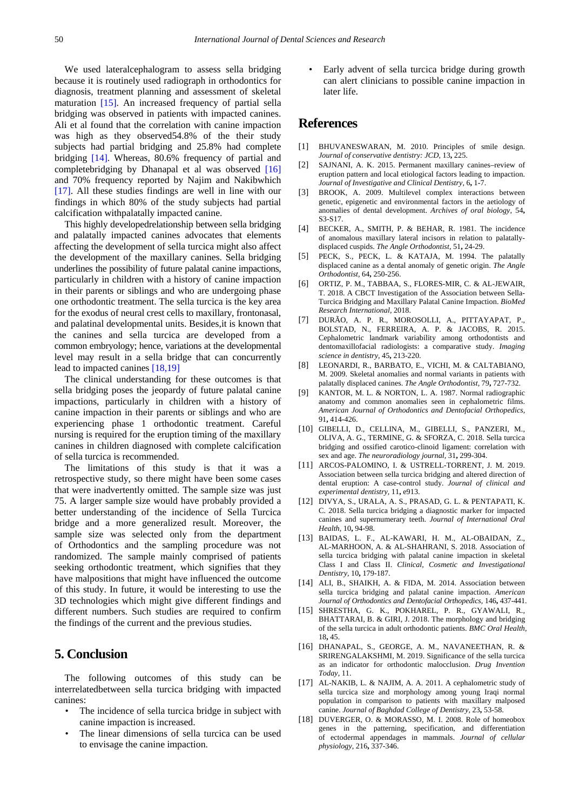We used lateralcephalogram to assess sella bridging because it is routinely used radiograph in orthodontics for diagnosis, treatment planning and assessment of skeletal maturation [\[15\].](#page-3-10) An increased frequency of partial sella bridging was observed in patients with impacted canines. Ali et al found that the correlation with canine impaction was high as they observed54.8% of the their study subjects had partial bridging and 25.8% had complete bridging [\[14\].](#page-3-11) Whereas, 80.6% frequency of partial and completebridging by Dhanapal et al was observed [\[16\]](#page-3-12) and 70% frequency reported by Najim and Nakibwhich [\[17\].](#page-3-13) All these studies findings are well in line with our findings in which 80% of the study subjects had partial calcification withpalatally impacted canine.

This highly developedrelationship between sella bridging and palatally impacted canines advocates that elements affecting the development of sella turcica might also affect the development of the maxillary canines. Sella bridging underlines the possibility of future palatal canine impactions, particularly in children with a history of canine impaction in their parents or siblings and who are undergoing phase one orthodontic treatment. The sella turcica is the key area for the exodus of neural crest cells to maxillary, frontonasal, and palatinal developmental units. Besides,it is known that the canines and sella turcica are developed from a common embryology; hence, variations at the developmental level may result in a sella bridge that can concurrently lead to impacted canines [\[18,19\]](#page-3-14)

The clinical understanding for these outcomes is that sella bridging poses the jeopardy of future palatal canine impactions, particularly in children with a history of canine impaction in their parents or siblings and who are experiencing phase 1 orthodontic treatment. Careful nursing is required for the eruption timing of the maxillary canines in children diagnosed with complete calcification of sella turcica is recommended.

The limitations of this study is that it was a retrospective study, so there might have been some cases that were inadvertently omitted. The sample size was just 75. A larger sample size would have probably provided a better understanding of the incidence of Sella Turcica bridge and a more generalized result. Moreover, the sample size was selected only from the department of Orthodontics and the sampling procedure was not randomized. The sample mainly comprised of patients seeking orthodontic treatment, which signifies that they have malpositions that might have influenced the outcome of this study. In future, it would be interesting to use the 3D technologies which might give different findings and different numbers. Such studies are required to confirm the findings of the current and the previous studies.

## **5. Conclusion**

The following outcomes of this study can be interrelatedbetween sella turcica bridging with impacted canines:

- The incidence of sella turcica bridge in subject with canine impaction is increased.
- The linear dimensions of sella turcica can be used to envisage the canine impaction.

• Early advent of sella turcica bridge during growth can alert clinicians to possible canine impaction in later life.

## **References**

- <span id="page-3-0"></span>[1] BHUVANESWARAN, M. 2010. Principles of smile design. *Journal of conservative dentistry: JCD,* 13**,** 225.
- <span id="page-3-1"></span>[2] SAJNANI, A. K. 2015. Permanent maxillary canines–review of eruption pattern and local etiological factors leading to impaction. *Journal of Investigative and Clinical Dentistry,* 6**,** 1-7.
- <span id="page-3-2"></span>[3] BROOK, A. 2009. Multilevel complex interactions between genetic, epigenetic and environmental factors in the aetiology of anomalies of dental development. *Archives of oral biology,* 54**,** S3-S17.
- <span id="page-3-3"></span>[4] BECKER, A., SMITH, P. & BEHAR, R. 1981. The incidence of anomalous maxillary lateral incisors in relation to palatallydisplaced cuspids. *The Angle Orthodontist,* 51**,** 24-29.
- [5] PECK, S., PECK, L. & KATAJA, M. 1994. The palatally displaced canine as a dental anomaly of genetic origin. *The Angle Orthodontist,* 64**,** 250-256.
- <span id="page-3-4"></span>[6] ORTIZ, P. M., TABBAA, S., FLORES-MIR, C. & AL-JEWAIR, T. 2018. A CBCT Investigation of the Association between Sella-Turcica Bridging and Maxillary Palatal Canine Impaction. *BioMed Research International,* 2018.
- <span id="page-3-5"></span>[7] DURÃO, A. P. R., MOROSOLLI, A., PITTAYAPAT, P., BOLSTAD, N., FERREIRA, A. P. & JACOBS, R. 2015. Cephalometric landmark variability among orthodontists and dentomaxillofacial radiologists: a comparative study. *Imaging science in dentistry,* 45**,** 213-220.
- <span id="page-3-6"></span>[8] LEONARDI, R., BARBATO, E., VICHI, M. & CALTABIANO, M. 2009. Skeletal anomalies and normal variants in patients with palatally displaced canines. *The Angle Orthodontist,* 79**,** 727-732.
- <span id="page-3-7"></span>[9] KANTOR, M. L. & NORTON, L. A. 1987. Normal radiographic anatomy and common anomalies seen in cephalometric films. *American Journal of Orthodontics and Dentofacial Orthopedics,* 91**,** 414-426.
- <span id="page-3-8"></span>[10] GIBELLI, D., CELLINA, M., GIBELLI, S., PANZERI, M., OLIVA, A. G., TERMINE, G. & SFORZA, C. 2018. Sella turcica bridging and ossified carotico-clinoid ligament: correlation with sex and age. *The neuroradiology journal,* 31**,** 299-304.
- [11] ARCOS-PALOMINO, I. & USTRELL-TORRENT, J. M. 2019. Association between sella turcica bridging and altered direction of dental eruption: A case-control study. *Journal of clinical and experimental dentistry,* 11**,** e913.
- <span id="page-3-9"></span>[12] DIVYA, S., URALA, A. S., PRASAD, G. L. & PENTAPATI, K. C. 2018. Sella turcica bridging a diagnostic marker for impacted canines and supernumerary teeth. *Journal of International Oral Health,* 10**,** 94-98.
- [13] BAIDAS, L. F., AL-KAWARI, H. M., AL-OBAIDAN, Z., AL-MARHOON, A. & AL-SHAHRANI, S. 2018. Association of sella turcica bridging with palatal canine impaction in skeletal Class I and Class II. *Clinical, Cosmetic and Investigational Dentistry,* 10**,** 179-187.
- <span id="page-3-11"></span>[14] ALI, B., SHAIKH, A. & FIDA, M. 2014. Association between sella turcica bridging and palatal canine impaction. *American Journal of Orthodontics and Dentofacial Orthopedics,* 146**,** 437-441.
- <span id="page-3-10"></span>[15] SHRESTHA, G. K., POKHAREL, P. R., GYAWALI, R., BHATTARAI, B. & GIRI, J. 2018. The morphology and bridging of the sella turcica in adult orthodontic patients. *BMC Oral Health,* 18**,** 45.
- <span id="page-3-12"></span>[16] DHANAPAL, S., GEORGE, A. M., NAVANEETHAN, R. & SRIRENGALAKSHMI, M. 2019. Significance of the sella turcica as an indicator for orthodontic malocclusion. *Drug Invention Today,* 11.
- <span id="page-3-13"></span>[17] AL-NAKIB, L. & NAJIM, A. A. 2011. A cephalometric study of sella turcica size and morphology among young Iraqi normal population in comparison to patients with maxillary malposed canine. *Journal of Baghdad College of Dentistry,* 23**,** 53-58.
- <span id="page-3-14"></span>[18] DUVERGER, O. & MORASSO, M. I. 2008. Role of homeobox genes in the patterning, specification, and differentiation of ectodermal appendages in mammals. *Journal of cellular physiology,* 216**,** 337-346.